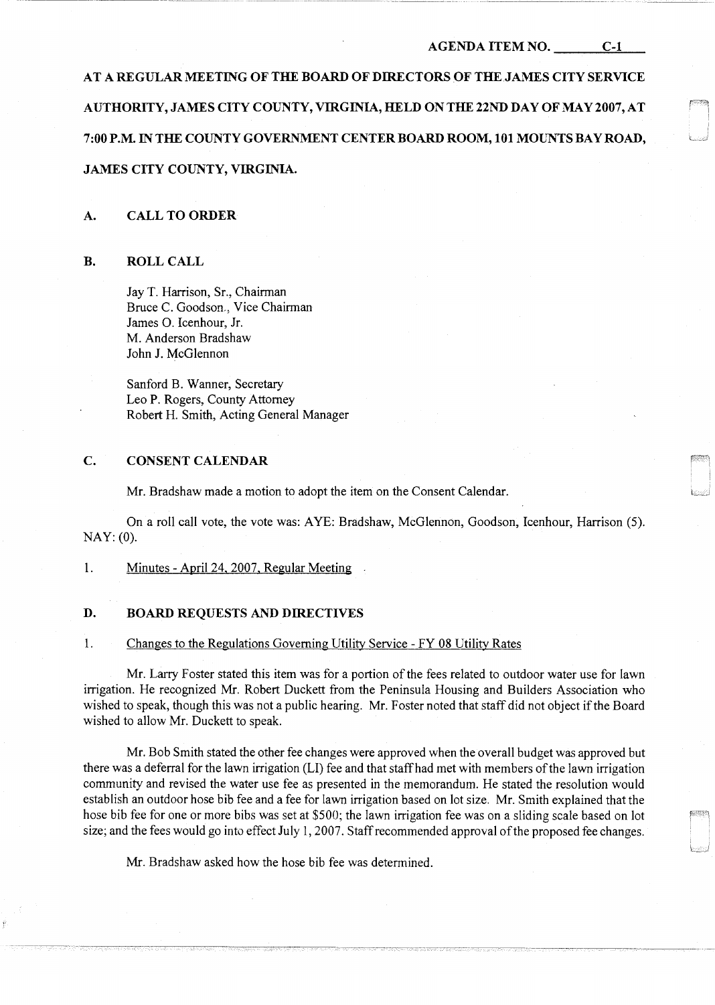#### AGENDA ITEM NO. C-1

AT A REGULAR MEETING OF THE BOARD OF DIRECTORS OF THE JAMES CITY SERVICE AUTHORITY, JAMES CITY COUNTY, VIRGINIA, HELD ON THE 22ND DAY OF MAY 2007, AT 7:00 P.M. IN THE COUNTY GOVERNMENT CENTER BOARD ROOM, 101 MOUNTS BAY ROAD, JAMES CITY COUNTY, VIRGINIA.

### A. CALL TO ORDER

#### B. ROLL CALL

Jay T. Harrison, Sr., Chairman Bruce C. Goodson., Vice Chairman James 0. Icenhour, Jr. M. Anderson Bradshaw John J. McGlennon

Sanford B. Wanner, Secretary Leo P. Rogers, County Attorney Robert H. Smith, Acting General Manager

# C. CONSENT CALENDAR

Mr. Bradshaw made a motion to adopt the item on the Consent Calendar.

On a roll call vote, the vote was: A YE: Bradshaw, McGlennon, Goodson, Icenhour, Harrison (5). NAY: (0).

### 1. Minutes - April 24, 2007, Regular Meeting

## D. BOARD REQUESTS AND DIRECTIVES

## 1. Changes to the Regulations Governing Utility Service - FY 08 Utility Rates

Mr. Larry Foster stated this item was for a portion of the fees related to outdoor water use for lawn irrigation. He recognized Mr. Robert Duckett from the Peninsula Housing and Builders Association who wished to speak, though this was not a public hearing. Mr. Foster noted that staff did not object ifthe Board wished to allow Mr. Duckett to speak.

Mr. Bob Smith stated the other fee changes were approved when the overall budget was approved but there was a deferral for the lawn irrigation (LI) fee and that staff had met with members of the lawn irrigation community and revised the water use fee as presented in the memorandum. He stated the resolution would establish an outdoor hose bib fee and a fee for lawn irrigation based on lot size. Mr. Smith explained that the hose bib fee for one or more bibs was set at \$500; the lawn irrigation fee was on a sliding scale based on lot size; and the fees would go into effect July 1, 2007. Staff recommended approval of the proposed fee changes.

Mr. Bradshaw asked how the hose bib fee was determined.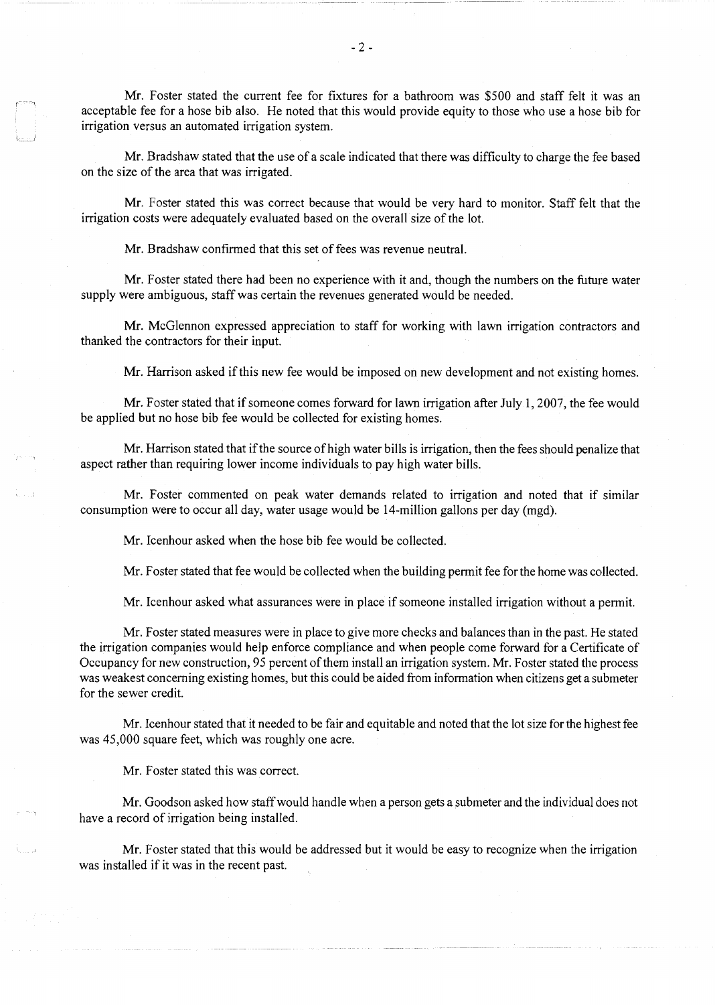Mr. Foster stated the current fee for fixtures for a bathroom was \$500 and staff felt it was an acceptable fee for a hose bib also. He noted that this would provide equity to those who use a hose bib for irrigation versus an automated irrigation system.

Mr. Bradshaw stated that the use of a scale indicated that there was difficulty to charge the fee based on the size of the area that was irrigated.

Mr. Foster stated this was correct because that would be very hard to monitor. Staff felt that the irrigation costs were adequately evaluated based on the overall size of the lot.

Mr. Bradshaw confirmed that this set of fees was revenue neutral.

Mr. Foster stated there had been no experience with it and, though the numbers on the future water supply were ambiguous, staff was certain the revenues generated would be needed.

Mr. McGlennon expressed appreciation to staff for working with lawn irrigation contractors and thanked the contractors for their input.

Mr. Harrison asked if this new fee would be imposed on new development and not existing homes.

Mr. Foster stated that if someone comes forward for lawn irrigation after July 1, 2007, the fee would be applied but no hose bib fee would be collected for existing homes.

Mr. Harrison stated that if the source of high water bills is irrigation, then the fees should penalize that aspect rather than requiring lower income individuals to pay high water bills.

Mr. Foster commented on peak water demands related to irrigation and noted that if similar consumption were to occur all day, water usage would be 14-million gallons per day (mgd).

Mr. Icenhour asked when the hose bib fee would be collected.

Mr. Foster stated that fee would be collected when the building permit fee for the home was collected.

Mr. Icenhour asked what assurances were in place if someone installed irrigation without a permit.

Mr. Foster stated measures were in place to give more checks and balances than in the past. He stated the irrigation companies would help enforce compliance and when people come forward for a Certificate of Occupancy for new construction, 95 percent of them install an irrigation system. Mr. Foster stated the process was weakest concerning existing homes, but this could be aided from information when citizens get a submeter for the sewer credit.

Mr. Icenhour stated that it needed to be fair and equitable and noted that the lot size for the highest fee was 45,000 square feet, which was roughly one acre.

Mr. Foster stated this was correct.

Mr. Goodson asked how staff would handle when a person gets a submeter and the individual does not have a record of irrigation being installed.

Mr. Foster stated that this would be addressed but it would be easy to recognize when the irrigation was installed if it was in the recent past.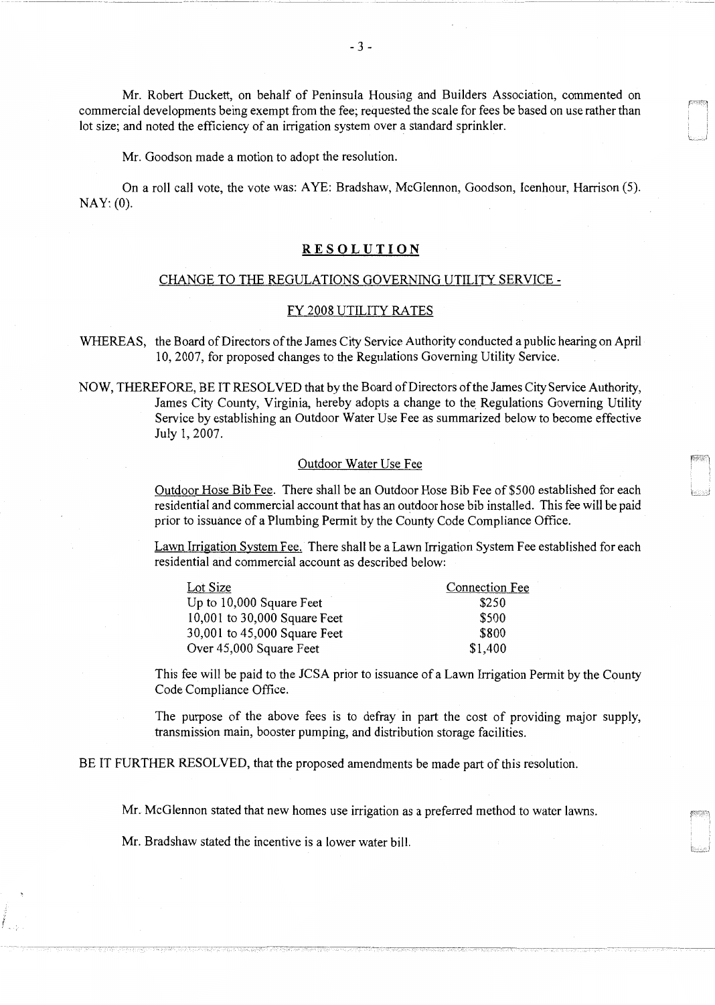Mr. Robert Duckett, on behalf of Peninsula Housing and Builders Association, commented on commercial developments being exempt from the fee; requested the scale for fees be based on use rather than lot size; and noted the efficiency of an irrigation system over a standard sprinkler.

Mr. Goodson made a motion to adopt the resolution.

On a roll call vote, the vote was: A YE: Bradshaw, McGlennon, Goodson, Icenhour, Harrison (5). NAY: (0).

# **RE SOL UT ION**

# CHANGE TO THE REGULATIONS GOVERNING UTILITY SERVICE -

### FY 2008 UTILITY RATES

WHEREAS, the Board of Directors of the James City Service Authority conducted a public hearing on April 10, 2007, for proposed changes to the Regulations Governing Utility Service.

NOW, THEREFORE, BE IT RESOLVED that by the Board of Directors of the James City Service Authority, James City County, Virginia, hereby adopts a change to the Regulations Governing Utility Service by establishing an Outdoor Water Use Fee as summarized below to become effective July 1, 2007.

### Outdoor Water Use Fee

Outdoor Hose Bib Fee. There shall be an Outdoor Hose Bib Fee of \$500 established for each L\_~ residential and commercial account that has an outdoor hose bib installed. This fee will be paid prior to issuance of a Plumbing Permit by the County Code Compliance Office.

Lawn Irrigation System Fee. There shall be a Lawn Irrigation System Fee established for each residential and commercial account as described below:

| Lot Size                     | <b>Connection Fee</b> |
|------------------------------|-----------------------|
| Up to 10,000 Square Feet     | \$250                 |
| 10,001 to 30,000 Square Feet | \$500                 |
| 30,001 to 45,000 Square Feet | \$800                 |
| Over 45,000 Square Feet      | \$1,400               |

This fee will be paid to the JCSA prior to issuance of a Lawn Irrigation Permit by the County Code Compliance Office.

The purpose of the above fees is to defray in part the cost of providing major supply, transmission main, booster pumping, and distribution storage facilities.

------------- --- -~------

BE IT FURTHER RESOLVED, that the proposed amendments be made part of this resolution.

Mr. McGlennon stated that new homes use irrigation as a preferred method to water lawns.

Mr. Bradshaw stated the incentive is a lower water bill.